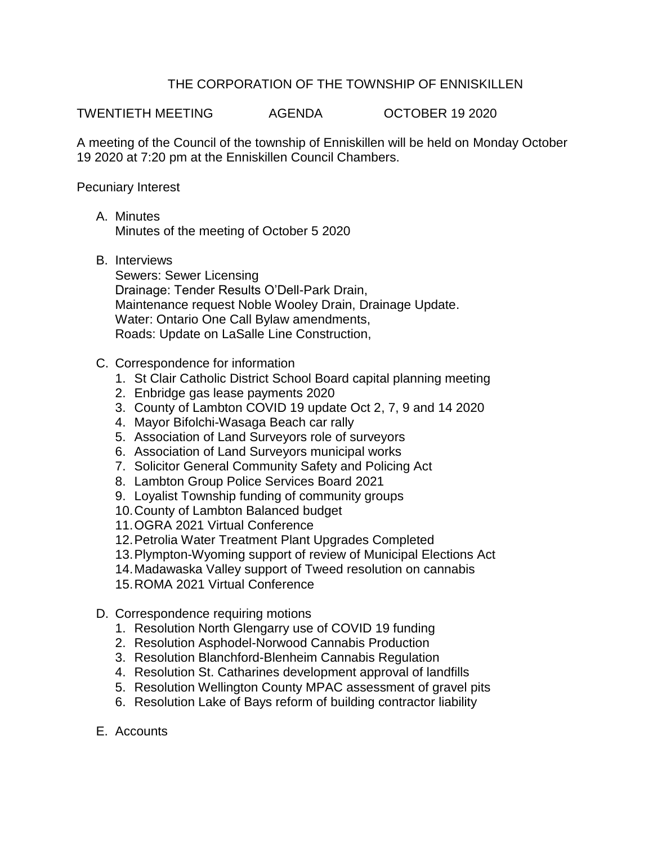## THE CORPORATION OF THE TOWNSHIP OF ENNISKILLEN

TWENTIETH MEETING AGENDA OCTOBER 19 2020

A meeting of the Council of the township of Enniskillen will be held on Monday October 19 2020 at 7:20 pm at the Enniskillen Council Chambers.

Pecuniary Interest

- A. Minutes Minutes of the meeting of October 5 2020
- B. Interviews

Sewers: Sewer Licensing Drainage: Tender Results O'Dell-Park Drain, Maintenance request Noble Wooley Drain, Drainage Update. Water: Ontario One Call Bylaw amendments, Roads: Update on LaSalle Line Construction,

- C. Correspondence for information
	- 1. St Clair Catholic District School Board capital planning meeting
	- 2. Enbridge gas lease payments 2020
	- 3. County of Lambton COVID 19 update Oct 2, 7, 9 and 14 2020
	- 4. Mayor Bifolchi-Wasaga Beach car rally
	- 5. Association of Land Surveyors role of surveyors
	- 6. Association of Land Surveyors municipal works
	- 7. Solicitor General Community Safety and Policing Act
	- 8. Lambton Group Police Services Board 2021
	- 9. Loyalist Township funding of community groups
	- 10.County of Lambton Balanced budget
	- 11.OGRA 2021 Virtual Conference
	- 12.Petrolia Water Treatment Plant Upgrades Completed
	- 13.Plympton-Wyoming support of review of Municipal Elections Act
	- 14.Madawaska Valley support of Tweed resolution on cannabis
	- 15.ROMA 2021 Virtual Conference
- D. Correspondence requiring motions
	- 1. Resolution North Glengarry use of COVID 19 funding
	- 2. Resolution Asphodel-Norwood Cannabis Production
	- 3. Resolution Blanchford-Blenheim Cannabis Regulation
	- 4. Resolution St. Catharines development approval of landfills
	- 5. Resolution Wellington County MPAC assessment of gravel pits
	- 6. Resolution Lake of Bays reform of building contractor liability
- E. Accounts